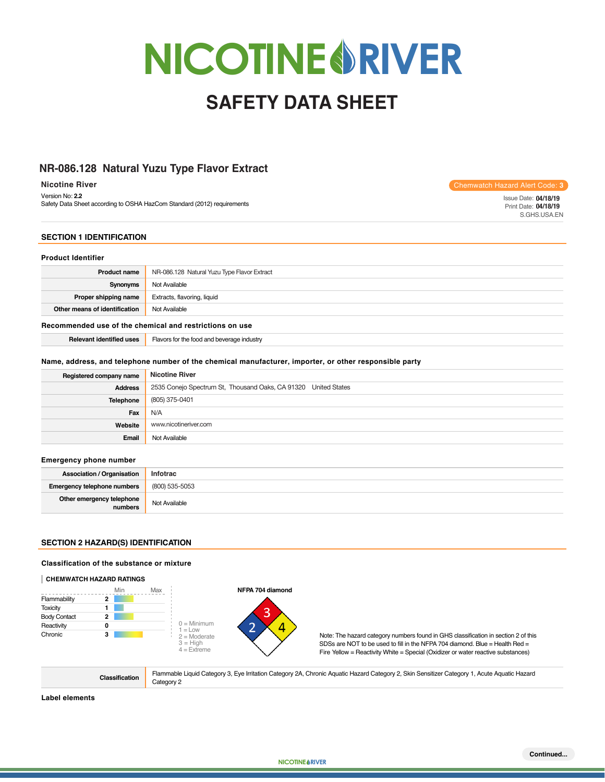# **NICOTINE RIVER**

# **SAFETY DATA SHEET**

# **Natural Yuzu Type Flavor Extract NR-086.128 Natural Yuzu Type Flavor Extract**

 **Nicotine River** Version No: **2.2** Safety Data Sheet according to OSHA HazCom Standard (2012) requirements Chemwatch Hazard Alert Code: **3**

Issue Date: **09/18/2019 04/18/19** Print Date: **09/18/2019 04/18/19** S.GHS.USA.EN

# **SECTION 1 IDENTIFICATION**

### **Product Identifier**

| Product name                  | NR-086.128 Natural Yuzu Type Flavor Extract |
|-------------------------------|---------------------------------------------|
| Synonyms                      | Not Available                               |
| Proper shipping name          | Extracts, flavoring, liquid                 |
| Other means of identification | Not Available                               |

### **Recommended use of the chemical and restrictions on use**

**Relevant identified uses** Flavors for the food and beverage industry

### **Name, address, and telephone number of the chemical manufacturer, importer, or other responsible party**

| Registered company name | <b>Nicotine River</b>                                          |
|-------------------------|----------------------------------------------------------------|
| <b>Address</b>          | 2535 Conejo Spectrum St, Thousand Oaks, CA 91320 United States |
| <b>Telephone</b>        | (805) 375-0401                                                 |
| Fax                     | N/A                                                            |
| Website                 | www.nicotineriver.com                                          |
| Email                   | Not Available                                                  |

### **Emergency phone number**

| <b>Association / Organisation</b>    | Infotrac       |
|--------------------------------------|----------------|
| Emergency telephone numbers          | (800) 535-5053 |
| Other emergency telephone<br>numbers | Not Available  |

# **SECTION 2 HAZARD(S) IDENTIFICATION**

### **Classification of the substance or mixture**

### **CHEMWATCH HAZARD RATINGS**



**Classification** Flammable Liquid Category 3, Eye Irritation Category 2A, Chronic Aquatic Hazard Category 2, Skin Sensitizer Category 1, Acute Aquatic Hazard Category 2

**NIC RIV**

**Label elements**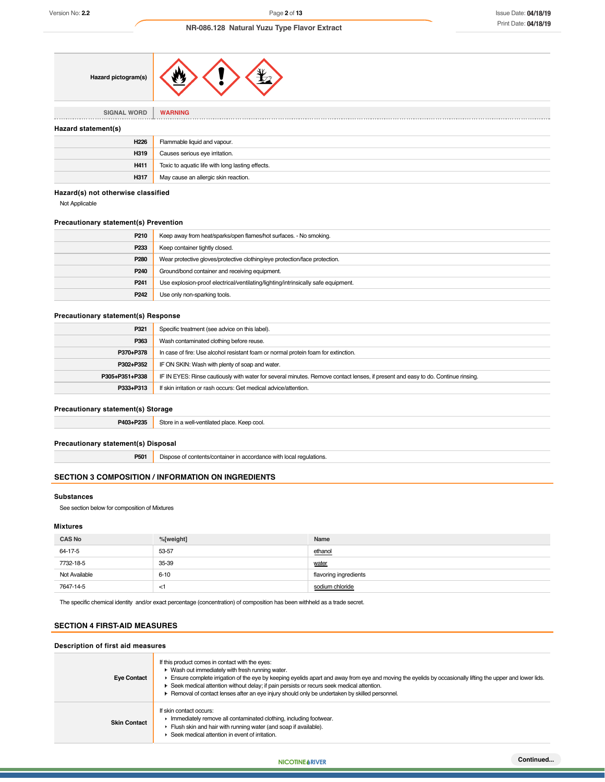| Hazard pictogram(s) |  |  |  |
|---------------------|--|--|--|
|---------------------|--|--|--|

**SIGNAL WORD WARNING** . . . . . . . . . . . .

### **Hazard statement(s)**

| H <sub>226</sub> | Flammable liquid and vapour.                     |
|------------------|--------------------------------------------------|
| H319             | Causes serious eye irritation.                   |
| H411             | Toxic to aquatic life with long lasting effects. |
| H317             | May cause an allergic skin reaction.             |

### **Hazard(s) not otherwise classified**

Not Applicable

# **Precautionary statement(s) Prevention**

| P <sub>210</sub> | Keep away from heat/sparks/open flames/hot surfaces. - No smoking.                |
|------------------|-----------------------------------------------------------------------------------|
| P <sub>233</sub> | Keep container tightly closed.                                                    |
| P <sub>280</sub> | Wear protective gloves/protective clothing/eye protection/face protection.        |
| P <sub>240</sub> | Ground/bond container and receiving equipment.                                    |
| P <sub>241</sub> | Use explosion-proof electrical/ventilating/lighting/intrinsically safe equipment. |
| P <sub>242</sub> | Use only non-sparking tools.                                                      |

### **Precautionary statement(s) Response**

| P321           | Specific treatment (see advice on this label).                                                                                   |
|----------------|----------------------------------------------------------------------------------------------------------------------------------|
| P363           | Wash contaminated clothing before reuse.                                                                                         |
| P370+P378      | In case of fire: Use alcohol resistant foam or normal protein foam for extinction.                                               |
| P302+P352      | IF ON SKIN: Wash with plenty of soap and water.                                                                                  |
| P305+P351+P338 | IF IN EYES: Rinse cautiously with water for several minutes. Remove contact lenses, if present and easy to do. Continue rinsing. |
| P333+P313      | If skin irritation or rash occurs: Get medical advice/attention.                                                                 |

### **Precautionary statement(s) Storage**

P403+P235 Store in a well-ventilated place. Keep cool.

### **Precautionary statement(s) Disposal**

**P501** Dispose of contents/container in accordance with local regulations.

### **SECTION 3 COMPOSITION / INFORMATION ON INGREDIENTS**

### **Substances**

See section below for composition of Mixtures

### **Mixtures**

| <b>CAS No</b> | %[weight] | Name                  |
|---------------|-----------|-----------------------|
| 64-17-5       | 53-57     | ethanol               |
| 7732-18-5     | 35-39     | water                 |
| Not Available | $6 - 10$  | flavoring ingredients |
| 7647-14-5     | $\leq$ 1  | sodium chloride       |

The specific chemical identity and/or exact percentage (concentration) of composition has been withheld as a trade secret.

### **SECTION 4 FIRST-AID MEASURES**

# **Description of first aid measures**

| <b>Eye Contact</b>  | If this product comes in contact with the eyes:<br>• Wash out immediately with fresh running water.<br>Ensure complete irrigation of the eye by keeping eyelids apart and away from eye and moving the eyelids by occasionally lifting the upper and lower lids.<br>► Seek medical attention without delay; if pain persists or recurs seek medical attention.<br>· Removal of contact lenses after an eye injury should only be undertaken by skilled personnel. |
|---------------------|-------------------------------------------------------------------------------------------------------------------------------------------------------------------------------------------------------------------------------------------------------------------------------------------------------------------------------------------------------------------------------------------------------------------------------------------------------------------|
| <b>Skin Contact</b> | If skin contact occurs:<br>Immediately remove all contaminated clothing, including footwear.<br>Flush skin and hair with running water (and soap if available).<br>Seek medical attention in event of irritation.                                                                                                                                                                                                                                                 |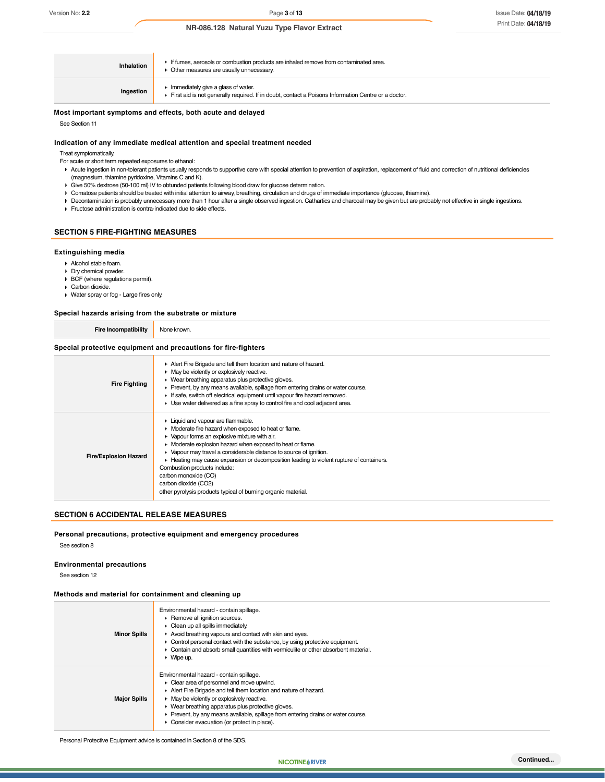| Inhalation | If fumes, aerosols or combustion products are inhaled remove from contaminated area.<br>Other measures are usually unnecessary.           |
|------------|-------------------------------------------------------------------------------------------------------------------------------------------|
| Ingestion  | Immediately give a glass of water.<br>First aid is not generally required. If in doubt, contact a Poisons Information Centre or a doctor. |

### **Most important symptoms and effects, both acute and delayed**

See Section 11

### **Indication of any immediate medical attention and special treatment needed**

Treat symptomatically.

For acute or short term repeated exposures to ethanol:

- ▶ Acute ingestion in non-tolerant patients usually responds to supportive care with special attention to prevention of aspiration, replacement of fluid and correction of nutritional deficiencies (magnesium, thiamine pyridoxine, Vitamins C and K).
- Give 50% dextrose (50-100 ml) IV to obtunded patients following blood draw for glucose determination.
- Comatose patients should be treated with initial attention to airway, breathing, circulation and drugs of immediate importance (glucose, thiamine).
- Decontamination is probably unnecessary more than 1 hour after a single observed ingestion. Cathartics and charcoal may be given but are probably not effective in single ingestions.
- Fructose administration is contra-indicated due to side effects.

### **SECTION 5 FIRE-FIGHTING MEASURES**

### **Extinguishing media**

- Alcohol stable foam.
- Dry chemical powder.
- $\triangleright$  BCF (where regulations permit).
- Carbon dioxide.
- Water spray or fog Large fires only.

### **Special hazards arising from the substrate or mixture**

| Special nazarus arismų from the substrate or mixture           |                                                                                                                                                                                                                                                                                                                                                                                                                                                            |  |
|----------------------------------------------------------------|------------------------------------------------------------------------------------------------------------------------------------------------------------------------------------------------------------------------------------------------------------------------------------------------------------------------------------------------------------------------------------------------------------------------------------------------------------|--|
| Fire Incompatibility                                           | None known.                                                                                                                                                                                                                                                                                                                                                                                                                                                |  |
| Special protective equipment and precautions for fire-fighters |                                                                                                                                                                                                                                                                                                                                                                                                                                                            |  |
| <b>Fire Fighting</b>                                           | Alert Fire Brigade and tell them location and nature of hazard.<br>• May be violently or explosively reactive.<br>• Wear breathing apparatus plus protective gloves.<br>• Prevent, by any means available, spillage from entering drains or water course.<br>If safe, switch off electrical equipment until vapour fire hazard removed.<br>► Use water delivered as a fine spray to control fire and cool adjacent area.                                   |  |
| <b>Fire/Explosion Hazard</b>                                   | • Liquid and vapour are flammable.<br>• Moderate fire hazard when exposed to heat or flame.<br>• Vapour forms an explosive mixture with air.<br>• Moderate explosion hazard when exposed to heat or flame.<br>▶ Vapour may travel a considerable distance to source of ignition.<br>Heating may cause expansion or decomposition leading to violent rupture of containers.<br>Combustion products include:<br>carbon monoxide (CO)<br>carbon dioxide (CO2) |  |

### **SECTION 6 ACCIDENTAL RELEASE MEASURES**

### **Personal precautions, protective equipment and emergency procedures**

other pyrolysis products typical of burning organic material.

See section 8

### **Environmental precautions**

See section 12

### **Methods and material for containment and cleaning up**

| <b>Minor Spills</b> | Environmental hazard - contain spillage.<br>Remove all ignition sources.<br>Clean up all spills immediately.<br>Avoid breathing vapours and contact with skin and eyes.<br>• Control personal contact with the substance, by using protective equipment.<br>• Contain and absorb small quantities with vermiculite or other absorbent material.<br>$\blacktriangleright$ Wipe up.               |
|---------------------|-------------------------------------------------------------------------------------------------------------------------------------------------------------------------------------------------------------------------------------------------------------------------------------------------------------------------------------------------------------------------------------------------|
| <b>Major Spills</b> | Environmental hazard - contain spillage.<br>Clear area of personnel and move upwind.<br>Alert Fire Brigade and tell them location and nature of hazard.<br>• May be violently or explosively reactive.<br>• Wear breathing apparatus plus protective gloves.<br>Prevent, by any means available, spillage from entering drains or water course.<br>• Consider evacuation (or protect in place). |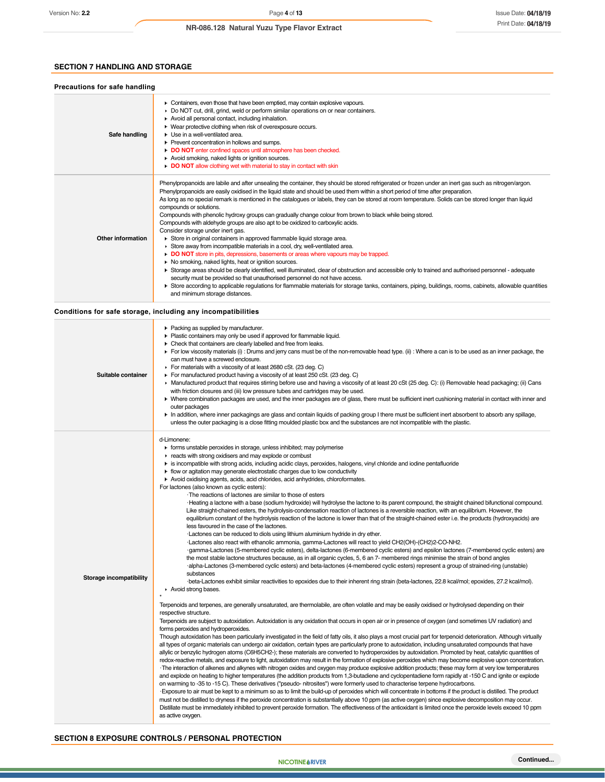# **SECTION 7 HANDLING AND STORAGE**

| Precautions for safe handling |                                                                                                                                                                                                                                                                                                                                                                                                                                                                                                                                                                                                                                                                                                                                                                                                                                                                                                                                                                                                                                                                                                                                                                                                                                                                                                                                                                                                                                                                               |
|-------------------------------|-------------------------------------------------------------------------------------------------------------------------------------------------------------------------------------------------------------------------------------------------------------------------------------------------------------------------------------------------------------------------------------------------------------------------------------------------------------------------------------------------------------------------------------------------------------------------------------------------------------------------------------------------------------------------------------------------------------------------------------------------------------------------------------------------------------------------------------------------------------------------------------------------------------------------------------------------------------------------------------------------------------------------------------------------------------------------------------------------------------------------------------------------------------------------------------------------------------------------------------------------------------------------------------------------------------------------------------------------------------------------------------------------------------------------------------------------------------------------------|
| Safe handling                 | Containers, even those that have been emptied, may contain explosive vapours.<br>Do NOT cut, drill, grind, weld or perform similar operations on or near containers.<br>Avoid all personal contact, including inhalation.<br>▶ Wear protective clothing when risk of overexposure occurs.<br>$\blacktriangleright$ Use in a well-ventilated area.<br>▶ Prevent concentration in hollows and sumps.<br>DO NOT enter confined spaces until atmosphere has been checked.<br>Avoid smoking, naked lights or ignition sources.<br>DO NOT allow clothing wet with material to stay in contact with skin                                                                                                                                                                                                                                                                                                                                                                                                                                                                                                                                                                                                                                                                                                                                                                                                                                                                             |
| Other information             | Phenylpropanoids are labile and after unsealing the container, they should be stored refrigerated or frozen under an inert gas such as nitrogen/argon.<br>Phenylpropanoids are easily oxidised in the liquid state and should be used them within a short period of time after preparation.<br>As long as no special remark is mentioned in the catalogues or labels, they can be stored at room temperature. Solids can be stored longer than liquid<br>compounds or solutions.<br>Compounds with phenolic hydroxy groups can gradually change colour from brown to black while being stored.<br>Compounds with aldehyde groups are also apt to be oxidized to carboxylic acids.<br>Consider storage under inert gas.<br>Store in original containers in approved flammable liquid storage area.<br>Store away from incompatible materials in a cool, dry, well-ventilated area.<br>DO NOT store in pits, depressions, basements or areas where vapours may be trapped.<br>• No smoking, naked lights, heat or ignition sources.<br>> Storage areas should be clearly identified, well illuminated, clear of obstruction and accessible only to trained and authorised personnel - adequate<br>security must be provided so that unauthorised personnel do not have access.<br>▶ Store according to applicable regulations for flammable materials for storage tanks, containers, piping, buildings, rooms, cabinets, allowable quantities<br>and minimum storage distances. |

**Conditions for safe storage, including any incompatibilities**

| Suitable container      | • Packing as supplied by manufacturer.<br>Plastic containers may only be used if approved for flammable liquid.<br>• Check that containers are clearly labelled and free from leaks.<br>► For low viscosity materials (i) : Drums and jerry cans must be of the non-removable head type. (ii) : Where a can is to be used as an inner package, the<br>can must have a screwed enclosure.<br>For materials with a viscosity of at least 2680 cSt. (23 deg. C)<br>For manufactured product having a viscosity of at least 250 cSt. (23 deg. C)<br>▶ Manufactured product that requires stirring before use and having a viscosity of at least 20 cSt (25 deg. C): (i) Removable head packaging; (ii) Cans<br>with friction closures and (iii) low pressure tubes and cartridges may be used.<br>▶ Where combination packages are used, and the inner packages are of glass, there must be sufficient inert cushioning material in contact with inner and<br>outer packages<br>In addition, where inner packagings are glass and contain liquids of packing group I there must be sufficient inert absorbent to absorb any spillage,<br>unless the outer packaging is a close fitting moulded plastic box and the substances are not incompatible with the plastic.                                                                                                                                                                                                                                                                                                                                                                                                                                                                                                                                                                                                                                                                                                                                                                                                                                                                                                                                                                                                                                                                                                                                                                                                                                                                                                                                                                                                                                                                                                                                                                                                                                                                                                                                                                                                                                                                                                                                                                                                                                                                                                                                                                                                                                                                                                                                                                                                                                                                                                                                                                                                                                                         |
|-------------------------|--------------------------------------------------------------------------------------------------------------------------------------------------------------------------------------------------------------------------------------------------------------------------------------------------------------------------------------------------------------------------------------------------------------------------------------------------------------------------------------------------------------------------------------------------------------------------------------------------------------------------------------------------------------------------------------------------------------------------------------------------------------------------------------------------------------------------------------------------------------------------------------------------------------------------------------------------------------------------------------------------------------------------------------------------------------------------------------------------------------------------------------------------------------------------------------------------------------------------------------------------------------------------------------------------------------------------------------------------------------------------------------------------------------------------------------------------------------------------------------------------------------------------------------------------------------------------------------------------------------------------------------------------------------------------------------------------------------------------------------------------------------------------------------------------------------------------------------------------------------------------------------------------------------------------------------------------------------------------------------------------------------------------------------------------------------------------------------------------------------------------------------------------------------------------------------------------------------------------------------------------------------------------------------------------------------------------------------------------------------------------------------------------------------------------------------------------------------------------------------------------------------------------------------------------------------------------------------------------------------------------------------------------------------------------------------------------------------------------------------------------------------------------------------------------------------------------------------------------------------------------------------------------------------------------------------------------------------------------------------------------------------------------------------------------------------------------------------------------------------------------------------------------------------------------------------------------------------------------------------------------------------------------------------------------------------------------------------------------------------------------------------------------------------------------------------------------------------------------------------------------------------------------------------------------------------------------------------------------------------------------------------------------------------------------------------------------------------------------------------------------------------------------------------------------------------------------------------------------------------------------------------------------------------------------|
| Storage incompatibility | d-Limonene:<br>forms unstable peroxides in storage, unless inhibited; may polymerise<br>reacts with strong oxidisers and may explode or combust<br>is incompatible with strong acids, including acidic clays, peroxides, halogens, vinyl chloride and iodine pentafluoride<br>• flow or agitation may generate electrostatic charges due to low conductivity<br>Avoid oxidising agents, acids, acid chlorides, acid anhydrides, chloroformates.<br>For lactones (also known as cyclic esters):<br>The reactions of lactones are similar to those of esters<br>· Heating a lactone with a base (sodium hydroxide) will hydrolyse the lactone to its parent compound, the straight chained bifunctional compound.<br>Like straight-chained esters, the hydrolysis-condensation reaction of lactones is a reversible reaction, with an equilibrium. However, the<br>equilibrium constant of the hydrolysis reaction of the lactone is lower than that of the straight-chained ester i.e. the products (hydroxyacids) are<br>less favoured in the case of the lactones.<br>·Lactones can be reduced to diols using lithium aluminium hydride in dry ether.<br>-Lactones also react with ethanolic ammonia, gamma-Lactones will react to yield CH2(OH)-(CH2)2-CO-NH2.<br>·gamma-Lactones (5-membered cyclic esters), delta-lactones (6-membered cyclic esters) and epsilon lactones (7-membered cyclic esters) are<br>the most stable lactone structures because, as in all organic cycles, 5, 6 an 7- membered rings minimise the strain of bond angles<br>-alpha-Lactones (3-membered cyclic esters) and beta-lactones (4-membered cyclic esters) represent a group of strained-ring (unstable)<br>substances<br>beta-Lactones exhibit similar reactivities to epoxides due to their inherent ring strain (beta-lactones, 22.8 kcal/mol; epoxides, 27.2 kcal/mol).<br>Avoid strong bases.<br>Terpenoids and terpenes, are generally unsaturated, are thermolabile, are often volatile and may be easily oxidised or hydrolysed depending on their<br>respective structure.<br>Terpenoids are subject to autoxidation. Autoxidation is any oxidation that occurs in open air or in presence of oxygen (and sometimes UV radiation) and<br>forms peroxides and hydroperoxides.<br>Though autoxidation has been particularly investigated in the field of fatty oils, it also plays a most crucial part for terpenoid deterioration. Although virtually<br>all types of organic materials can undergo air oxidation, certain types are particularly prone to autoxidation, including unsaturated compounds that have<br>allylic or benzylic hydrogen atoms (C6H5CH2-); these materials are converted to hydroperoxides by autoxidation. Promoted by heat, catalytic quantities of<br>redox-reactive metals, and exposure to light, autoxidation may result in the formation of explosive peroxides which may become explosive upon concentration.<br>The interaction of alkenes and alkynes with nitrogen oxides and oxygen may produce explosive addition products; these may form at very low temperatures<br>and explode on heating to higher temperatures (the addition products from 1,3-butadiene and cyclopentadiene form rapidly at -150 C and ignite or explode<br>on warming to -35 to -15 C). These derivatives ("pseudo- nitrosites") were formerly used to characterise terpene hydrocarbons.<br>Exposure to air must be kept to a minimum so as to limit the build-up of peroxides which will concentrate in bottoms if the product is distilled. The product<br>must not be distilled to dryness if the peroxide concentration is substantially above 10 ppm (as active oxygen) since explosive decomposition may occur.<br>Distillate must be immediately inhibited to prevent peroxide formation. The effectiveness of the antioxidant is limited once the peroxide levels exceed 10 ppm<br>as active oxygen. |

# **SECTION 8 EXPOSURE CONTROLS / PERSONAL PROTECTION**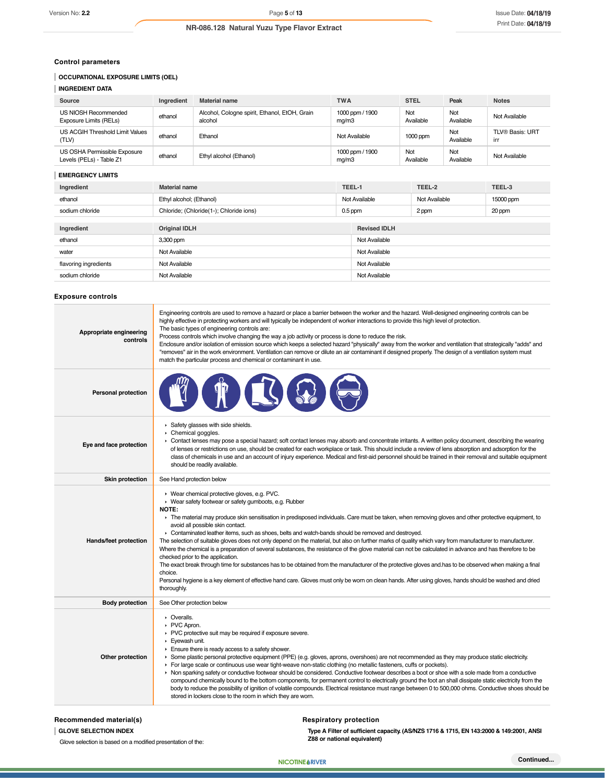### **Control parameters**

# **OCCUPATIONAL EXPOSURE LIMITS (OEL)**

| <b>INGREDIENT DATA</b>                                   |            |                                                          |                          |                  |                  |                        |
|----------------------------------------------------------|------------|----------------------------------------------------------|--------------------------|------------------|------------------|------------------------|
| Source                                                   | Ingredient | <b>Material name</b>                                     | <b>TWA</b>               | <b>STEL</b>      | Peak             | <b>Notes</b>           |
| US NIOSH Recommended<br>Exposure Limits (RELs)           | ethanol    | Alcohol, Cologne spirit, Ethanol, EtOH, Grain<br>alcohol | 1000 ppm / 1900<br>mq/m3 | Not<br>Available | Not<br>Available | Not Available          |
| US ACGIH Threshold Limit Values<br>(TLV)                 | ethanol    | Ethanol                                                  | Not Available            | $1000$ ppm       | Not<br>Available | TLV® Basis: URT<br>irr |
| US OSHA Permissible Exposure<br>Levels (PELs) - Table Z1 | ethanol    | Ethyl alcohol (Ethanol)                                  | 1000 ppm / 1900<br>mq/m3 | Not<br>Available | Not<br>Available | Not Available          |

### **EMERGENCY LIMITS**

| Ingredient            | TEEL-1<br><b>Material name</b>          |               |                     | TEEL-2        | TEEL-3    |
|-----------------------|-----------------------------------------|---------------|---------------------|---------------|-----------|
| ethanol               | Ethyl alcohol; (Ethanol)                | Not Available |                     | Not Available | 15000 ppm |
| sodium chloride       | Chloride; (Chloride(1-); Chloride ions) | $0.5$ ppm     |                     | 2 ppm         | 20 ppm    |
| Ingredient            | <b>Original IDLH</b>                    |               | <b>Revised IDLH</b> |               |           |
| ethanol               | 3,300 ppm                               |               | Not Available       |               |           |
| water                 | Not Available                           |               | Not Available       |               |           |
| flavoring ingredients | Not Available                           |               | Not Available       |               |           |
| sodium chloride       | Not Available                           |               | Not Available       |               |           |

### **Exposure controls**

| Appropriate engineering<br>controls | Engineering controls are used to remove a hazard or place a barrier between the worker and the hazard. Well-designed engineering controls can be<br>highly effective in protecting workers and will typically be independent of worker interactions to provide this high level of protection.<br>The basic types of engineering controls are:<br>Process controls which involve changing the way a job activity or process is done to reduce the risk.<br>Enclosure and/or isolation of emission source which keeps a selected hazard "physically" away from the worker and ventilation that strategically "adds" and<br>"removes" air in the work environment. Ventilation can remove or dilute an air contaminant if designed properly. The design of a ventilation system must<br>match the particular process and chemical or contaminant in use.                                                                                                                                                                                                                                                                            |
|-------------------------------------|----------------------------------------------------------------------------------------------------------------------------------------------------------------------------------------------------------------------------------------------------------------------------------------------------------------------------------------------------------------------------------------------------------------------------------------------------------------------------------------------------------------------------------------------------------------------------------------------------------------------------------------------------------------------------------------------------------------------------------------------------------------------------------------------------------------------------------------------------------------------------------------------------------------------------------------------------------------------------------------------------------------------------------------------------------------------------------------------------------------------------------|
| Personal protection                 |                                                                                                                                                                                                                                                                                                                                                                                                                                                                                                                                                                                                                                                                                                                                                                                                                                                                                                                                                                                                                                                                                                                                  |
| Eye and face protection             | Safety glasses with side shields.<br>Chemical goggles.<br>• Contact lenses may pose a special hazard; soft contact lenses may absorb and concentrate irritants. A written policy document, describing the wearing<br>of lenses or restrictions on use, should be created for each workplace or task. This should include a review of lens absorption and adsorption for the<br>class of chemicals in use and an account of injury experience. Medical and first-aid personnel should be trained in their removal and suitable equipment<br>should be readily available.                                                                                                                                                                                                                                                                                                                                                                                                                                                                                                                                                          |
| <b>Skin protection</b>              | See Hand protection below                                                                                                                                                                                                                                                                                                                                                                                                                                                                                                                                                                                                                                                                                                                                                                                                                                                                                                                                                                                                                                                                                                        |
| Hands/feet protection               | ▶ Wear chemical protective gloves, e.g. PVC.<br>▶ Wear safety footwear or safety gumboots, e.g. Rubber<br>NOTE:<br>The material may produce skin sensitisation in predisposed individuals. Care must be taken, when removing gloves and other protective equipment, to<br>avoid all possible skin contact.<br>• Contaminated leather items, such as shoes, belts and watch-bands should be removed and destroyed.<br>The selection of suitable gloves does not only depend on the material, but also on further marks of quality which vary from manufacturer to manufacturer.<br>Where the chemical is a preparation of several substances, the resistance of the glove material can not be calculated in advance and has therefore to be<br>checked prior to the application.<br>The exact break through time for substances has to be obtained from the manufacturer of the protective gloves and has to be observed when making a final<br>choice.<br>Personal hygiene is a key element of effective hand care. Gloves must only be worn on clean hands. After using gloves, hands should be washed and dried<br>thoroughly. |
| <b>Body protection</b>              | See Other protection below                                                                                                                                                                                                                                                                                                                                                                                                                                                                                                                                                                                                                                                                                                                                                                                                                                                                                                                                                                                                                                                                                                       |
| Other protection                    | • Overalls.<br>▶ PVC Apron.<br>PVC protective suit may be required if exposure severe.<br>Eyewash unit.<br>Ensure there is ready access to a safety shower.<br>> Some plastic personal protective equipment (PPE) (e.g. gloves, aprons, overshoes) are not recommended as they may produce static electricity.<br>For large scale or continuous use wear tight-weave non-static clothing (no metallic fasteners, cuffs or pockets).<br>▶ Non sparking safety or conductive footwear should be considered. Conductive footwear describes a boot or shoe with a sole made from a conductive<br>compound chemically bound to the bottom components, for permanent control to electrically ground the foot an shall dissipate static electricity from the<br>body to reduce the possibility of ignition of volatile compounds. Electrical resistance must range between 0 to 500,000 ohms. Conductive shoes should be<br>stored in lockers close to the room in which they are worn.                                                                                                                                                 |

# **Recommended material(s)**

**GLOVE SELECTION INDEX**

Glove selection is based on a modified presentation of the:

# **Respiratory protection**

**NIC RIV**

**Type A Filter of sufficient capacity. (AS/NZS 1716 & 1715, EN 143:2000 & 149:2001, ANSI Z88 or national equivalent)**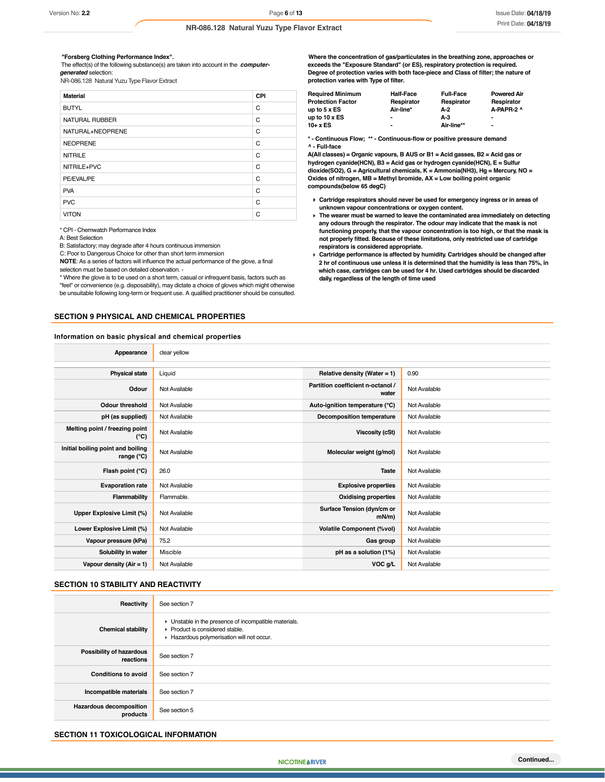### *"***Forsberg Clothing Performance Index".**

 The effect(s) of the following substance(s) are taken into account in the *computergenerated* selection:

NR-086.128 Natural Yuzu Type Flavor Extract

| <b>Material</b>       | <b>CPI</b> |
|-----------------------|------------|
| <b>BUTYL</b>          | C          |
| <b>NATURAL RUBBER</b> | C          |
| NATURAL+NEOPRENE      | C          |
| <b>NEOPRENE</b>       | C          |
| <b>NITRILE</b>        | C          |
| NITRILE+PVC           | C          |
| PE/EVAL/PE            | C          |
| <b>PVA</b>            | C          |
| <b>PVC</b>            | C          |
| <b>VITON</b>          | C          |

\* CPI - Chemwatch Performance Index

A: Best Selection

B: Satisfactory; may degrade after 4 hours continuous immersion

C: Poor to Dangerous Choice for other than short term immersion

**NOTE**: As a series of factors will influence the actual performance of the glove, a final selection must be based on detailed observation. -

\* Where the glove is to be used on a short term, casual or infrequent basis, factors such as "feel" or convenience (e.g. disposability), may dictate a choice of gloves which might otherwise be unsuitable following long-term or frequent use. A qualified practitioner should be consulted.

### **SECTION 9 PHYSICAL AND CHEMICAL PROPERTIES**

### **Information on basic physical and chemical properties**

**Where the concentration of gas/particulates in the breathing zone, approaches or exceeds the "Exposure Standard" (or ES), respiratory protection is required. Degree of protection varies with both face-piece and Class of filter; the nature of protection varies with Type of filter.**

| <b>Required Minimum</b>  | <b>Half-Face</b>         | <b>Full-Face</b> | <b>Powered Air</b> |
|--------------------------|--------------------------|------------------|--------------------|
| <b>Protection Factor</b> | Respirator               | Respirator       | Respirator         |
| up to 5 x ES             | Air-line*                | A-2              | A-PAPR-2 ^         |
| up to 10 x ES            | $\overline{\phantom{a}}$ | А-З              | $\blacksquare$     |
| 10+ x ES                 | $\blacksquare$           | Air-line**       | $\blacksquare$     |
|                          |                          |                  |                    |

**\* - Continuous Flow; \*\* - Continuous-flow or positive pressure demand ^ - Full-face**

**A(All classes) = Organic vapours, B AUS or B1 = Acid gasses, B2 = Acid gas or hydrogen cyanide(HCN), B3 = Acid gas or hydrogen cyanide(HCN), E = Sulfur dioxide(SO2), G = Agricultural chemicals, K = Ammonia(NH3), Hg = Mercury, NO = Oxides of nitrogen, MB = Methyl bromide, AX = Low boiling point organic compounds(below 65 degC)**

- **Cartridge respirators should never be used for emergency ingress or in areas of unknown vapour concentrations or oxygen content.**
- **The wearer must be warned to leave the contaminated area immediately on detecting any odours through the respirator. The odour may indicate that the mask is not functioning properly, that the vapour concentration is too high, or that the mask is not properly fitted. Because of these limitations, only restricted use of cartridge respirators is considered appropriate.**
- **Cartridge performance is affected by humidity. Cartridges should be changed after 2 hr of continuous use unless it is determined that the humidity is less than 75%, in which case, cartridges can be used for 4 hr. Used cartridges should be discarded daily, regardless of the length of time used**

| Appearance                                               | clear yellow  |                                            |               |
|----------------------------------------------------------|---------------|--------------------------------------------|---------------|
| <b>Physical state</b>                                    | Liquid        | Relative density (Water = 1)               | 0.90          |
| Odour                                                    | Not Available | Partition coefficient n-octanol /<br>water | Not Available |
| <b>Odour threshold</b>                                   | Not Available | Auto-ignition temperature (°C)             | Not Available |
| pH (as supplied)                                         | Not Available | Decomposition temperature                  | Not Available |
| Melting point / freezing point<br>(°C)                   | Not Available | <b>Viscosity (cSt)</b>                     | Not Available |
| Initial boiling point and boiling<br>range $(^{\circ}C)$ | Not Available | Molecular weight (g/mol)                   | Not Available |
| Flash point (°C)                                         | 26.0          | <b>Taste</b>                               | Not Available |
| <b>Evaporation rate</b>                                  | Not Available | <b>Explosive properties</b>                | Not Available |
| Flammability                                             | Flammable.    | <b>Oxidising properties</b>                | Not Available |
| Upper Explosive Limit (%)                                | Not Available | Surface Tension (dyn/cm or<br>$mN/m$ )     | Not Available |
| Lower Explosive Limit (%)                                | Not Available | <b>Volatile Component (%vol)</b>           | Not Available |
| Vapour pressure (kPa)                                    | 75.2          | Gas group                                  | Not Available |
| Solubility in water                                      | Miscible      | pH as a solution (1%)                      | Not Available |
| Vapour density $(Air = 1)$                               | Not Available | VOC g/L                                    | Not Available |

### **SECTION 10 STABILITY AND REACTIVITY**

| Reactivity                                 | See section 7                                                                                                                        |
|--------------------------------------------|--------------------------------------------------------------------------------------------------------------------------------------|
| <b>Chemical stability</b>                  | • Unstable in the presence of incompatible materials.<br>▶ Product is considered stable.<br>Hazardous polymerisation will not occur. |
| Possibility of hazardous<br>reactions      | See section 7                                                                                                                        |
| <b>Conditions to avoid</b>                 | See section 7                                                                                                                        |
| Incompatible materials                     | See section 7                                                                                                                        |
| <b>Hazardous decomposition</b><br>products | See section 5                                                                                                                        |

### **SECTION 11 TOXICOLOGICAL INFORMATION**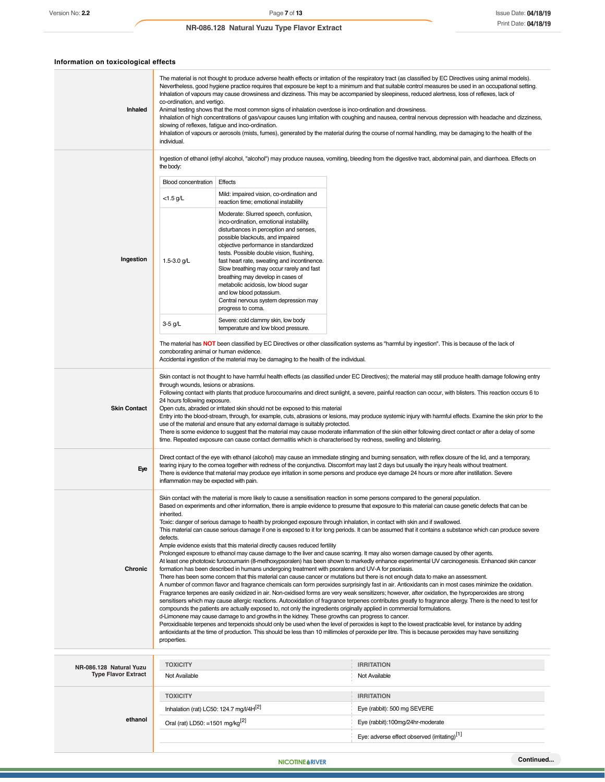| Information on toxicological effects |
|--------------------------------------|
|--------------------------------------|

| Inhaled                                               | The material is not thought to produce adverse health effects or irritation of the respiratory tract (as classified by EC Directives using animal models).<br>Nevertheless, good hygiene practice requires that exposure be kept to a minimum and that suitable control measures be used in an occupational setting.<br>Inhalation of vapours may cause drowsiness and dizziness. This may be accompanied by sleepiness, reduced alertness, loss of reflexes, lack of<br>co-ordination, and vertigo.<br>Animal testing shows that the most common signs of inhalation overdose is inco-ordination and drowsiness.<br>Inhalation of high concentrations of gas/vapour causes lung irritation with coughing and nausea, central nervous depression with headache and dizziness,<br>slowing of reflexes, fatigue and inco-ordination.<br>Inhalation of vapours or aerosols (mists, fumes), generated by the material during the course of normal handling, may be damaging to the health of the<br>individual.                                                                                                                                                                                                                                                                                                                                                                                                                                                                                                                                                                                                                                                                                                                                                                                                                                                                                                                                                                                                                                                                                                                                                                                                                                                                   |                                                                                                                                                                                                                                                                                                                                                                                                                                                                                                                     |                                                                                                                                                 |
|-------------------------------------------------------|-------------------------------------------------------------------------------------------------------------------------------------------------------------------------------------------------------------------------------------------------------------------------------------------------------------------------------------------------------------------------------------------------------------------------------------------------------------------------------------------------------------------------------------------------------------------------------------------------------------------------------------------------------------------------------------------------------------------------------------------------------------------------------------------------------------------------------------------------------------------------------------------------------------------------------------------------------------------------------------------------------------------------------------------------------------------------------------------------------------------------------------------------------------------------------------------------------------------------------------------------------------------------------------------------------------------------------------------------------------------------------------------------------------------------------------------------------------------------------------------------------------------------------------------------------------------------------------------------------------------------------------------------------------------------------------------------------------------------------------------------------------------------------------------------------------------------------------------------------------------------------------------------------------------------------------------------------------------------------------------------------------------------------------------------------------------------------------------------------------------------------------------------------------------------------------------------------------------------------------------------------------------------------|---------------------------------------------------------------------------------------------------------------------------------------------------------------------------------------------------------------------------------------------------------------------------------------------------------------------------------------------------------------------------------------------------------------------------------------------------------------------------------------------------------------------|-------------------------------------------------------------------------------------------------------------------------------------------------|
|                                                       | Ingestion of ethanol (ethyl alcohol, "alcohol") may produce nausea, vomiting, bleeding from the digestive tract, abdominal pain, and diarrhoea. Effects on<br>the body:                                                                                                                                                                                                                                                                                                                                                                                                                                                                                                                                                                                                                                                                                                                                                                                                                                                                                                                                                                                                                                                                                                                                                                                                                                                                                                                                                                                                                                                                                                                                                                                                                                                                                                                                                                                                                                                                                                                                                                                                                                                                                                       |                                                                                                                                                                                                                                                                                                                                                                                                                                                                                                                     |                                                                                                                                                 |
|                                                       | <b>Blood concentration</b>                                                                                                                                                                                                                                                                                                                                                                                                                                                                                                                                                                                                                                                                                                                                                                                                                                                                                                                                                                                                                                                                                                                                                                                                                                                                                                                                                                                                                                                                                                                                                                                                                                                                                                                                                                                                                                                                                                                                                                                                                                                                                                                                                                                                                                                    | Effects                                                                                                                                                                                                                                                                                                                                                                                                                                                                                                             |                                                                                                                                                 |
|                                                       | $<$ 1.5 g/L                                                                                                                                                                                                                                                                                                                                                                                                                                                                                                                                                                                                                                                                                                                                                                                                                                                                                                                                                                                                                                                                                                                                                                                                                                                                                                                                                                                                                                                                                                                                                                                                                                                                                                                                                                                                                                                                                                                                                                                                                                                                                                                                                                                                                                                                   | Mild: impaired vision, co-ordination and<br>reaction time; emotional instability                                                                                                                                                                                                                                                                                                                                                                                                                                    |                                                                                                                                                 |
| Ingestion                                             | 1.5-3.0 g/L                                                                                                                                                                                                                                                                                                                                                                                                                                                                                                                                                                                                                                                                                                                                                                                                                                                                                                                                                                                                                                                                                                                                                                                                                                                                                                                                                                                                                                                                                                                                                                                                                                                                                                                                                                                                                                                                                                                                                                                                                                                                                                                                                                                                                                                                   | Moderate: Slurred speech, confusion,<br>inco-ordination, emotional instability,<br>disturbances in perception and senses,<br>possible blackouts, and impaired<br>objective performance in standardized<br>tests. Possible double vision, flushing,<br>fast heart rate, sweating and incontinence.<br>Slow breathing may occur rarely and fast<br>breathing may develop in cases of<br>metabolic acidosis, low blood sugar<br>and low blood potassium.<br>Central nervous system depression may<br>progress to coma. |                                                                                                                                                 |
|                                                       | 3-5 g/L                                                                                                                                                                                                                                                                                                                                                                                                                                                                                                                                                                                                                                                                                                                                                                                                                                                                                                                                                                                                                                                                                                                                                                                                                                                                                                                                                                                                                                                                                                                                                                                                                                                                                                                                                                                                                                                                                                                                                                                                                                                                                                                                                                                                                                                                       | Severe: cold clammy skin, low body<br>temperature and low blood pressure.                                                                                                                                                                                                                                                                                                                                                                                                                                           |                                                                                                                                                 |
|                                                       | corroborating animal or human evidence.                                                                                                                                                                                                                                                                                                                                                                                                                                                                                                                                                                                                                                                                                                                                                                                                                                                                                                                                                                                                                                                                                                                                                                                                                                                                                                                                                                                                                                                                                                                                                                                                                                                                                                                                                                                                                                                                                                                                                                                                                                                                                                                                                                                                                                       | Accidental ingestion of the material may be damaging to the health of the individual.                                                                                                                                                                                                                                                                                                                                                                                                                               | The material has NOT been classified by EC Directives or other classification systems as "harmful by ingestion". This is because of the lack of |
| <b>Skin Contact</b>                                   | Skin contact is not thought to have harmful health effects (as classified under EC Directives); the material may still produce health damage following entry<br>through wounds, lesions or abrasions.<br>Following contact with plants that produce furocoumarins and direct sunlight, a severe, painful reaction can occur, with blisters. This reaction occurs 6 to<br>24 hours following exposure.<br>Open cuts, abraded or irritated skin should not be exposed to this material<br>Entry into the blood-stream, through, for example, cuts, abrasions or lesions, may produce systemic injury with harmful effects. Examine the skin prior to the<br>use of the material and ensure that any external damage is suitably protected.<br>There is some evidence to suggest that the material may cause moderate inflammation of the skin either following direct contact or after a delay of some<br>time. Repeated exposure can cause contact dermatitis which is characterised by redness, swelling and blistering.                                                                                                                                                                                                                                                                                                                                                                                                                                                                                                                                                                                                                                                                                                                                                                                                                                                                                                                                                                                                                                                                                                                                                                                                                                                      |                                                                                                                                                                                                                                                                                                                                                                                                                                                                                                                     |                                                                                                                                                 |
| Eye                                                   | Direct contact of the eye with ethanol (alcohol) may cause an immediate stinging and burning sensation, with reflex closure of the lid, and a temporary,<br>tearing injury to the cornea together with redness of the conjunctiva. Discomfort may last 2 days but usually the injury heals without treatment.<br>There is evidence that material may produce eye irritation in some persons and produce eye damage 24 hours or more after instillation. Severe<br>inflammation may be expected with pain.                                                                                                                                                                                                                                                                                                                                                                                                                                                                                                                                                                                                                                                                                                                                                                                                                                                                                                                                                                                                                                                                                                                                                                                                                                                                                                                                                                                                                                                                                                                                                                                                                                                                                                                                                                     |                                                                                                                                                                                                                                                                                                                                                                                                                                                                                                                     |                                                                                                                                                 |
| Chronic                                               | Skin contact with the material is more likely to cause a sensitisation reaction in some persons compared to the general population.<br>Based on experiments and other information, there is ample evidence to presume that exposure to this material can cause genetic defects that can be<br>inherited.<br>Toxic: danger of serious damage to health by prolonged exposure through inhalation, in contact with skin and if swallowed.<br>This material can cause serious damage if one is exposed to it for long periods. It can be assumed that it contains a substance which can produce severe<br>defects.<br>Ample evidence exists that this material directly causes reduced fertility<br>Prolonged exposure to ethanol may cause damage to the liver and cause scarring. It may also worsen damage caused by other agents.<br>At least one phototoxic furocoumarin (8-methoxypsoralen) has been shown to markedly enhance experimental UV carcinogenesis. Enhanced skin cancer<br>formation has been described in humans undergoing treatment with psoralens and UV-A for psoriasis.<br>There has been some concern that this material can cause cancer or mutations but there is not enough data to make an assessment.<br>A number of common flavor and fragrance chemicals can form peroxides surprisingly fast in air. Antioxidants can in most cases minimize the oxidation.<br>Fragrance terpenes are easily oxidized in air. Non-oxidised forms are very weak sensitizers; however, after oxidation, the hyproperoxides are strong<br>sensitisers which may cause allergic reactions. Autooxidation of fragrance terpenes contributes greatly to fragrance allergy. There is the need to test for<br>compounds the patients are actually exposed to, not only the ingredients originally applied in commercial formulations.<br>d-Limonene may cause damage to and growths in the kidney. These growths can progress to cancer.<br>Peroxidisable terpenes and terpenoids should only be used when the level of peroxides is kept to the lowest practicable level, for instance by adding<br>antioxidants at the time of production. This should be less than 10 millimoles of peroxide per litre. This is because peroxides may have sensitizing<br>properties. |                                                                                                                                                                                                                                                                                                                                                                                                                                                                                                                     |                                                                                                                                                 |
|                                                       | <b>TOXICITY</b>                                                                                                                                                                                                                                                                                                                                                                                                                                                                                                                                                                                                                                                                                                                                                                                                                                                                                                                                                                                                                                                                                                                                                                                                                                                                                                                                                                                                                                                                                                                                                                                                                                                                                                                                                                                                                                                                                                                                                                                                                                                                                                                                                                                                                                                               |                                                                                                                                                                                                                                                                                                                                                                                                                                                                                                                     | <b>IRRITATION</b>                                                                                                                               |
| NR-086.128 Natural Yuzu<br><b>Type Flavor Extract</b> | Not Available                                                                                                                                                                                                                                                                                                                                                                                                                                                                                                                                                                                                                                                                                                                                                                                                                                                                                                                                                                                                                                                                                                                                                                                                                                                                                                                                                                                                                                                                                                                                                                                                                                                                                                                                                                                                                                                                                                                                                                                                                                                                                                                                                                                                                                                                 |                                                                                                                                                                                                                                                                                                                                                                                                                                                                                                                     | Not Available                                                                                                                                   |
|                                                       | <b>TOXICITY</b>                                                                                                                                                                                                                                                                                                                                                                                                                                                                                                                                                                                                                                                                                                                                                                                                                                                                                                                                                                                                                                                                                                                                                                                                                                                                                                                                                                                                                                                                                                                                                                                                                                                                                                                                                                                                                                                                                                                                                                                                                                                                                                                                                                                                                                                               |                                                                                                                                                                                                                                                                                                                                                                                                                                                                                                                     | <b>IRRITATION</b>                                                                                                                               |
|                                                       | Inhalation (rat) LC50: 124.7 mg/l/4H[2]                                                                                                                                                                                                                                                                                                                                                                                                                                                                                                                                                                                                                                                                                                                                                                                                                                                                                                                                                                                                                                                                                                                                                                                                                                                                                                                                                                                                                                                                                                                                                                                                                                                                                                                                                                                                                                                                                                                                                                                                                                                                                                                                                                                                                                       |                                                                                                                                                                                                                                                                                                                                                                                                                                                                                                                     | Eye (rabbit): 500 mg SEVERE                                                                                                                     |
| ethanol                                               | Oral (rat) LD50: =1501 mg/kg <sup>[2]</sup>                                                                                                                                                                                                                                                                                                                                                                                                                                                                                                                                                                                                                                                                                                                                                                                                                                                                                                                                                                                                                                                                                                                                                                                                                                                                                                                                                                                                                                                                                                                                                                                                                                                                                                                                                                                                                                                                                                                                                                                                                                                                                                                                                                                                                                   |                                                                                                                                                                                                                                                                                                                                                                                                                                                                                                                     | Eye (rabbit):100mg/24hr-moderate                                                                                                                |
|                                                       |                                                                                                                                                                                                                                                                                                                                                                                                                                                                                                                                                                                                                                                                                                                                                                                                                                                                                                                                                                                                                                                                                                                                                                                                                                                                                                                                                                                                                                                                                                                                                                                                                                                                                                                                                                                                                                                                                                                                                                                                                                                                                                                                                                                                                                                                               |                                                                                                                                                                                                                                                                                                                                                                                                                                                                                                                     | Eye: adverse effect observed (irritating)[1]                                                                                                    |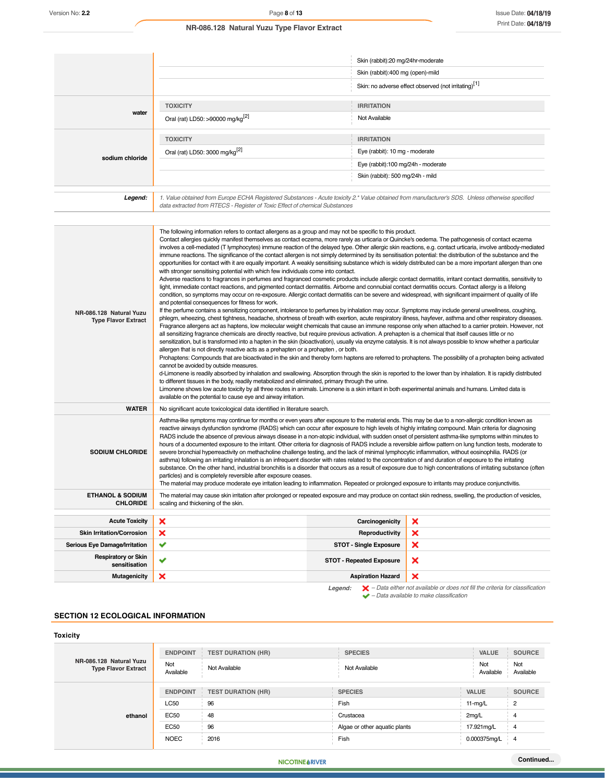|                 |                                                                                                                                                                                                                                 | Skin (rabbit):20 mg/24hr-moderate                                                                                                                                                                                                                                                                                                                                                                                                                                                                                                                                                                                                                     |  |
|-----------------|---------------------------------------------------------------------------------------------------------------------------------------------------------------------------------------------------------------------------------|-------------------------------------------------------------------------------------------------------------------------------------------------------------------------------------------------------------------------------------------------------------------------------------------------------------------------------------------------------------------------------------------------------------------------------------------------------------------------------------------------------------------------------------------------------------------------------------------------------------------------------------------------------|--|
|                 |                                                                                                                                                                                                                                 | Skin (rabbit):400 mg (open)-mild                                                                                                                                                                                                                                                                                                                                                                                                                                                                                                                                                                                                                      |  |
|                 |                                                                                                                                                                                                                                 | Skin: no adverse effect observed (not irritating) <sup>[1]</sup>                                                                                                                                                                                                                                                                                                                                                                                                                                                                                                                                                                                      |  |
|                 | <b>TOXICITY</b>                                                                                                                                                                                                                 | <b>IRRITATION</b>                                                                                                                                                                                                                                                                                                                                                                                                                                                                                                                                                                                                                                     |  |
| water           | Oral (rat) LD50: >90000 mg/kg <sup>[2]</sup>                                                                                                                                                                                    | Not Available                                                                                                                                                                                                                                                                                                                                                                                                                                                                                                                                                                                                                                         |  |
|                 | <b>TOXICITY</b>                                                                                                                                                                                                                 | <b>IRRITATION</b>                                                                                                                                                                                                                                                                                                                                                                                                                                                                                                                                                                                                                                     |  |
|                 | Oral (rat) LD50: 3000 mg/kg <sup>[2]</sup>                                                                                                                                                                                      | Eye (rabbit): 10 mg - moderate                                                                                                                                                                                                                                                                                                                                                                                                                                                                                                                                                                                                                        |  |
| sodium chloride |                                                                                                                                                                                                                                 | Eye (rabbit):100 mg/24h - moderate                                                                                                                                                                                                                                                                                                                                                                                                                                                                                                                                                                                                                    |  |
|                 |                                                                                                                                                                                                                                 | Skin (rabbit): 500 mg/24h - mild                                                                                                                                                                                                                                                                                                                                                                                                                                                                                                                                                                                                                      |  |
| Legend:         | 1. Value obtained from Europe ECHA Registered Substances - Acute toxicity 2.* Value obtained from manufacturer's SDS. Unless otherwise specified<br>data extracted from RTECS - Register of Toxic Effect of chemical Substances |                                                                                                                                                                                                                                                                                                                                                                                                                                                                                                                                                                                                                                                       |  |
|                 |                                                                                                                                                                                                                                 |                                                                                                                                                                                                                                                                                                                                                                                                                                                                                                                                                                                                                                                       |  |
|                 | The following information refers to contact allergens as a group and may not be specific to this product.<br>with stronger sensitising potential with which few individuals come into contact.                                  | Contact allergies quickly manifest themselves as contact eczema, more rarely as urticaria or Quincke's oedema. The pathogenesis of contact eczema<br>involves a cell-mediated (T lymphocytes) immune reaction of the delayed type. Other allergic skin reactions, e.g. contact urticaria, involve antibody-mediated<br>immune reactions. The significance of the contact allergen is not simply determined by its sensitisation potential: the distribution of the substance and the<br>opportunities for contact with it are equally important. A weakly sensitising substance which is widely distributed can be a more important allergen than one |  |

Adverse reactions to fragrances in perfumes and fragranced cosmetic products include allergic contact dermatitis, irritant contact dermatitis, sensitivity to light, immediate contact reactions, and pigmented contact dermatitis. Airborne and connubial contact dermatitis occurs. Contact allergy is a lifelong condition, so symptoms may occur on re-exposure. Allergic contact dermatitis can be severe and widespread, with significant impairment of quality of life and potential consequences for fitness for work. If the perfume contains a sensitizing component, intolerance to perfumes by inhalation may occur. Symptoms may include general unwellness, coughing, **SF-4475.1 Natural Yuzu Type NR-086.128 Natural Yuzu**  phlegm, wheezing, chest tightness, headache, shortness of breath with exertion, acute respiratory illness, hayfever, asthma and other respiratory diseases. **Flavor Extract Type Flavor Extract** Fragrance allergens act as haptens, low molecular weight chemicals that cause an immune response only when attached to a carrier protein. However, not all sensitizing fragrance chemicals are directly reactive, but require previous activation. A prehapten is a chemical that itself causes little or no sensitization, but is transformed into a hapten in the skin (bioactivation), usually via enzyme catalysis. It is not always possible to know whether a particular allergen that is not directly reactive acts as a prehapten or a prohapten , or both. Prohaptens: Compounds that are bioactivated in the skin and thereby form haptens are referred to prohaptens. The possibility of a prohapten being activated cannot be avoided by outside measures. d-Limonene is readily absorbed by inhalation and swallowing. Absorption through the skin is reported to the lower than by inhalation. It is rapidly distributed to different tissues in the body, readily metabolized and eliminated, primary through the urine. Limonene shows low acute toxicity by all three routes in animals. Limonene is a skin irritant in both experimental animals and humans. Limited data is available on the potential to cause eye and airway irritation. **WATER** No significant acute toxicological data identified in literature search. Asthma-like symptoms may continue for months or even years after exposure to the material ends. This may be due to a non-allergic condition known as reactive airways dysfunction syndrome (RADS) which can occur after exposure to high levels of highly irritating compound. Main criteria for diagnosing RADS include the absence of previous airways disease in a non-atopic individual, with sudden onset of persistent asthma-like symptoms within minutes to hours of a documented exposure to the irritant. Other criteria for diagnosis of RADS include a reversible airflow pattern on lung function tests, moderate to **SODIUM CHLORIDE** severe bronchial hyperreactivity on methacholine challenge testing, and the lack of minimal lymphocytic inflammation, without eosinophilia. RADS (or asthma) following an irritating inhalation is an infrequent disorder with rates related to the concentration of and duration of exposure to the irritating substance. On the other hand, industrial bronchitis is a disorder that occurs as a result of exposure due to high concentrations of irritating substance (often particles) and is completely reversible after exposure ceases The material may produce moderate eye irritation leading to inflammation. Repeated or prolonged exposure to irritants may produce conjunctivitis. **ETHANOL & SODIUM** The material may cause skin irritation after prolonged or repeated exposure and may produce on contact skin redness, swelling, the production of vesicles, **CHLORIDE** scaling and thickening of the skin. **Acute Toxicity Carcinogenicity** × **Skin Irritation/Corrosion X Reproductivity**  $\boldsymbol{\mathsf{x}}$ **Serious Eye Damage/Irritation STOT - Single Exposure** × **Respiratory or Skin STOT - Repeated Exposure**  $\mathbf x$ **Mutagenicity Aspiration Hazard**  $\mathbf x$ 

**NIC RIV**

*Legend: – Data either not available or does not fill the criteria for classification – Data available to make classification*

### **SECTION 12 ECOLOGICAL INFORMATION**

| Toxicity                                              |                  |                           |                               |                  |                  |
|-------------------------------------------------------|------------------|---------------------------|-------------------------------|------------------|------------------|
| NR-086.128 Natural Yuzu<br><b>Type Flavor Extract</b> | <b>ENDPOINT</b>  | <b>TEST DURATION (HR)</b> | <b>SPECIES</b>                | <b>VALUE</b>     | <b>SOURCE</b>    |
|                                                       | Not<br>Available | Not Available             | Not Available                 | Not<br>Available | Not<br>Available |
| ethanol                                               | <b>ENDPOINT</b>  | <b>TEST DURATION (HR)</b> | <b>SPECIES</b>                | <b>VALUE</b>     | <b>SOURCE</b>    |
|                                                       | <b>LC50</b>      | 96                        | Fish                          | $11-mg/L$        | $\overline{2}$   |
|                                                       | EC50             | 48                        | Crustacea                     | $2$ mg/L         | 4                |
|                                                       | EC50             | 96                        | Algae or other aquatic plants | 17.921mg/L       | 4                |
|                                                       | <b>NOEC</b>      | 2016                      | Fish                          | 0.000375mg/L     | $\overline{4}$   |
|                                                       |                  |                           |                               |                  |                  |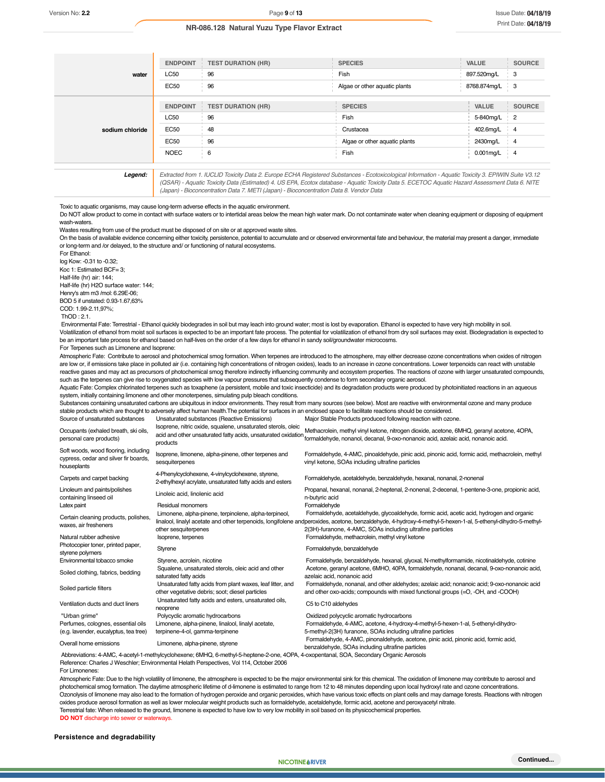|                 | <b>ENDPOINT</b> | <b>TEST DURATION (HR)</b> | <b>SPECIES</b>                | <b>VALUE</b> | <b>SOURCE</b>  |
|-----------------|-----------------|---------------------------|-------------------------------|--------------|----------------|
| water           | LC50            | 96                        | Fish                          | 897.520mg/L  | - 3            |
|                 | <b>EC50</b>     | 96                        | Algae or other aquatic plants | 8768.874mg/L | - 3            |
| sodium chloride | <b>ENDPOINT</b> | <b>TEST DURATION (HR)</b> | <b>SPECIES</b>                | <b>VALUE</b> | <b>SOURCE</b>  |
|                 | <b>LC50</b>     | 96                        | Fish                          | 5-840mg/L    | $\frac{1}{2}$  |
|                 | <b>EC50</b>     | 48                        | Crustacea                     | 402.6mg/L    | $4^{\circ}$    |
|                 | <b>EC50</b>     | 96                        | Algae or other aquatic plants | 2430mg/L     | $\overline{4}$ |
|                 | <b>NOEC</b>     | 6                         | Fish                          | 0.001mg/L    | $4 - 4$        |

*Legend: Extracted from 1. IUCLID Toxicity Data 2. Europe ECHA Registered Substances - Ecotoxicological Information - Aquatic Toxicity 3. EPIWIN Suite V3.12 (QSAR) - Aquatic Toxicity Data (Estimated) 4. US EPA, Ecotox database - Aquatic Toxicity Data 5. ECETOC Aquatic Hazard Assessment Data 6. NITE (Japan) - Bioconcentration Data 7. METI (Japan) - Bioconcentration Data 8. Vendor Data*

Toxic to aquatic organisms, may cause long-term adverse effects in the aquatic environment.

Do NOT allow product to come in contact with surface waters or to intertidal areas below the mean high water mark. Do not contaminate water when cleaning equipment or disposing of equipment wash-waters.

Wastes resulting from use of the product must be disposed of on site or at approved waste sites.

On the basis of available evidence concerning either toxicity, persistence, potential to accumulate and or observed environmental fate and behaviour, the material may present a danger, immediate or long-term and /or delayed, to the structure and/ or functioning of natural ecosystems.

For Ethanol: log Kow: -0.31 to -0.32; Koc 1: Estimated BCF= 3; Half-life (hr) air: 144; Half-life (hr) H2O surface water: 144; Henry's atm m3 /mol: 6.29E-06; BOD 5 if unstated: 0.93-1.67,63% COD: 1.99-2.11,97%; ThOD : 2.1.

 Environmental Fate: Terrestrial - Ethanol quickly biodegrades in soil but may leach into ground water; most is lost by evaporation. Ethanol is expected to have very high mobility in soil. Volatilization of ethanol from moist soil surfaces is expected to be an important fate process. The potential for volatilization of ethanol from dry soil surfaces may exist. Biodegradation is expected to be an important fate process for ethanol based on half-lives on the order of a few days for ethanol in sandy soil/groundwater microcosms. For Terpenes such as Limonene and Isoprene:

Atmospheric Fate: Contribute to aerosol and photochemical smog formation. When terpenes are introduced to the atmosphere, may either decrease ozone concentrations when oxides of nitrogen are low or, if emissions take place in polluted air (i.e. containing high concentrations of nitrogen oxides), leads to an increase in ozone concentrations. Lower terpenoids can react with unstable reactive gases and may act as precursors of photochemical smog therefore indirectly influencing community and ecosystem properties. The reactions of ozone with larger unsaturated compounds, such as the terpenes can give rise to oxygenated species with low vapour pressures that subsequently condense to form secondary organic aerosol.

Aquatic Fate: Complex chlorinated terpenes such as toxaphene (a persistent, mobile and toxic insecticide) and its degradation products were produced by photoinitiated reactions in an aqueous system, initially containing limonene and other monoterpenes, simulating pulp bleach conditions.

Substances containing unsaturated carbons are ubiquitous in indoor environments. They result from many sources (see below). Most are reactive with environmental ozone and many produce stable products which are thought to adversely affect human health.The potential for surfaces in an enclosed space to facilitate reactions should be considered.

| Source of unsaturated substances                                                             | Unsaturated substances (Reactive Emissions)                                                                                               | Major Stable Products produced following reaction with ozone.                                                                                                                                                                                                                                                           |
|----------------------------------------------------------------------------------------------|-------------------------------------------------------------------------------------------------------------------------------------------|-------------------------------------------------------------------------------------------------------------------------------------------------------------------------------------------------------------------------------------------------------------------------------------------------------------------------|
| Occupants (exhaled breath, ski oils,<br>personal care products)                              | Isoprene, nitric oxide, squalene, unsaturated sterols, oleic<br>acid and other unsaturated fatty acids, unsaturated oxidation<br>products | Methacrolein, methyl vinyl ketone, nitrogen dioxide, acetone, 6MHQ, geranyl acetone, 4OPA,<br>formaldehyde, nonanol, decanal, 9-oxo-nonanoic acid, azelaic acid, nonanoic acid.                                                                                                                                         |
| Soft woods, wood flooring, including<br>cypress, cedar and silver fir boards,<br>houseplants | Isoprene, limonene, alpha-pinene, other terpenes and<br>sesquiterpenes                                                                    | Formaldehyde, 4-AMC, pinoaldehyde, pinic acid, pinonic acid, formic acid, methacrolein, methyl<br>vinyl ketone, SOAs including ultrafine particles                                                                                                                                                                      |
| Carpets and carpet backing                                                                   | 4-Phenylcyclohexene, 4-vinylcyclohexene, styrene,<br>2-ethylhexyl acrylate, unsaturated fatty acids and esters                            | Formaldehyde, acetaldehyde, benzaldehyde, hexanal, nonanal, 2-nonenal                                                                                                                                                                                                                                                   |
| Linoleum and paints/polishes<br>containing linseed oil                                       | Linoleic acid, linolenic acid                                                                                                             | Propanal, hexanal, nonanal, 2-heptenal, 2-nonenal, 2-decenal, 1-pentene-3-one, propionic acid,<br>n-butyric acid                                                                                                                                                                                                        |
| Latex paint                                                                                  | <b>Residual monomers</b>                                                                                                                  | Formaldehyde                                                                                                                                                                                                                                                                                                            |
| Certain cleaning products, polishes,<br>waxes, air fresheners                                | Limonene, alpha-pinene, terpinolene, alpha-terpineol,<br>other sesquiterpenes                                                             | Formaldehyde, acetaldehyde, glycoaldehyde, formic acid, acetic acid, hydrogen and organic<br>linalool, linalyl acetate and other terpenoids, longifolene andperoxides, acetone, benzaldehyde, 4-hydroxy-4-methyl-5-hexen-1-al, 5-ethenyl-dihydro-5-methyl-<br>2(3H)-furanone, 4-AMC, SOAs including ultrafine particles |
| Natural rubber adhesive                                                                      | Isoprene, terpenes                                                                                                                        | Formaldehyde, methacrolein, methyl vinyl ketone                                                                                                                                                                                                                                                                         |
| Photocopier toner, printed paper,<br>styrene polymers                                        | Styrene                                                                                                                                   | Formaldehyde, benzaldehyde                                                                                                                                                                                                                                                                                              |
| Environmental tobacco smoke                                                                  | Styrene, acrolein, nicotine                                                                                                               | Formaldehyde, benzaldehyde, hexanal, glyoxal, N-methylformamide, nicotinaldehyde, cotinine                                                                                                                                                                                                                              |
| Soiled clothing, fabrics, bedding                                                            | Squalene, unsaturated sterols, oleic acid and other<br>saturated fatty acids                                                              | Acetone, geranyl acetone, 6MHO, 40PA, formaldehyde, nonanal, decanal, 9-oxo-nonanoic acid,<br>azelaic acid, nonanoic acid                                                                                                                                                                                               |
| Soiled particle filters                                                                      | Unsaturated fatty acids from plant waxes, leaf litter, and<br>other vegetative debris; soot; diesel particles                             | Formaldehyde, nonanal, and other aldehydes; azelaic acid; nonanoic acid; 9-oxo-nonanoic acid<br>and other oxo-acids; compounds with mixed functional groups (=O, -OH, and -COOH)                                                                                                                                        |
| Ventilation ducts and duct liners                                                            | Unsaturated fatty acids and esters, unsaturated oils,<br>neoprene                                                                         | C5 to C10 aldehydes                                                                                                                                                                                                                                                                                                     |
| "Urban grime"                                                                                | Polycyclic aromatic hydrocarbons                                                                                                          | Oxidized polycyclic aromatic hydrocarbons                                                                                                                                                                                                                                                                               |
| Perfumes, colognes, essential oils<br>(e.g. lavender, eucalyptus, tea tree)                  | Limonene, alpha-pinene, linalool, linalyl acetate,<br>terpinene-4-ol, gamma-terpinene                                                     | Formaldehyde, 4-AMC, acetone, 4-hydroxy-4-methyl-5-hexen-1-al, 5-ethenyl-dihydro-<br>5-methyl-2(3H) furanone, SOAs including ultrafine particles                                                                                                                                                                        |
| Overall home emissions                                                                       | Limonene, alpha-pinene, styrene                                                                                                           | Formaldehyde, 4-AMC, pinonaldehyde, acetone, pinic acid, pinonic acid, formic acid,<br>henzaldehyde. SOAs including ultrafine narticles                                                                                                                                                                                 |

benzaldehyde, SOAs including ultrafine particles<br>Abbreviations: 4-AMC, 4-acetyl-1-methylcyclohexene; 6MHQ, 6-methyl-5-heptene-2-one, 4OPA, 4-oxopentanal, SOA, Secondary Organic Aerosols

Reference: Charles J Weschler; Environmental Helath Perspectives, Vol 114, October 2006

For Limonenes:

Atmospheric Fate: Due to the high volatility of limonene, the atmosphere is expected to be the major environmental sink for this chemical. The oxidation of limonene may contribute to aerosol and photochemical smog formation. The daytime atmospheric lifetime of d-limonene is estimated to range from 12 to 48 minutes depending upon local hydroxyl rate and ozone concentrations. Ozonolysis of limonene may also lead to the formation of hydrogen peroxide and organic peroxides, which have various toxic effects on plant cells and may damage forests. Reactions with nitrogen oxides produce aerosol formation as well as lower molecular weight products such as formaldehyde, acetaldehyde, formic acid, acetone and peroxyacetyl nitrate. Terrestrial fate: When released to the ground, limonene is expected to have low to very low mobility in soil based on its physicochemical properties. **DO NOT** discharge into sewer or w

### **Persistence and degradability**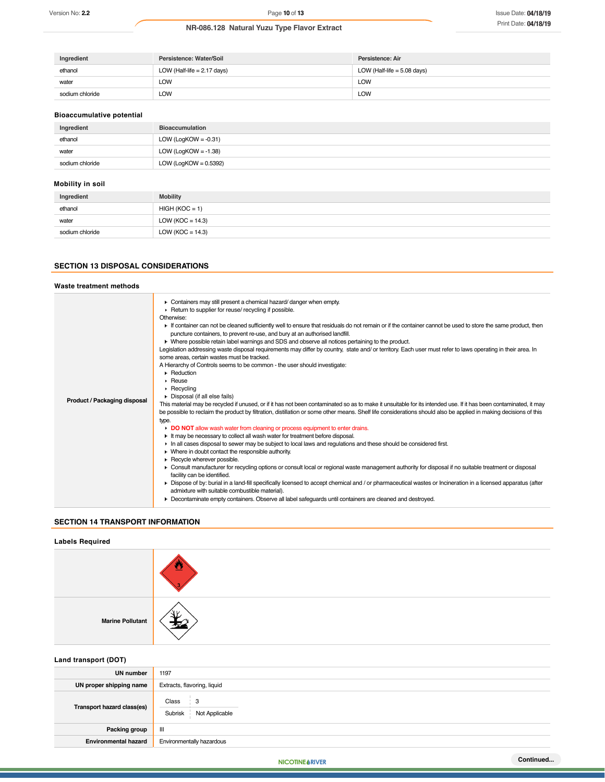| Ingredient      | Persistence: Water/Soil       | Persistence: Air              |
|-----------------|-------------------------------|-------------------------------|
| ethanol         | LOW (Half-life $= 2.17$ days) | LOW (Half-life $= 5.08$ days) |
| water           | LOW                           | <b>LOW</b>                    |
| sodium chloride | LOW                           | <b>LOW</b>                    |

### **Bioaccumulative potential**

| Ingredient      | <b>Bioaccumulation</b>   |
|-----------------|--------------------------|
| ethanol         | LOW (LogKOW = $-0.31$ )  |
| water           | LOW (LogKOW = $-1.38$ )  |
| sodium chloride | LOW (LogKOW = $0.5392$ ) |

# **Mobility in soil**

| Ingredient      | <b>Mobility</b>      |
|-----------------|----------------------|
| ethanol         | $HIGH (KOC = 1)$     |
| water           | LOW ( $KOC = 14.3$ ) |
| sodium chloride | LOW ( $KOC = 14.3$ ) |

### **SECTION 13 DISPOSAL CONSIDERATIONS**

### **Waste treatment methods Product / Packaging disposal** Containers may still present a chemical hazard/ danger when empty. **Return to supplier for reuse/ recycling if possible.** Otherwise: If container can not be cleaned sufficiently well to ensure that residuals do not remain or if the container cannot be used to store the same product, then puncture containers, to prevent re-use, and bury at an authorised landfill. Where possible retain label warnings and SDS and observe all notices pertaining to the product. Legislation addressing waste disposal requirements may differ by country, state and/ or territory. Each user must refer to laws operating in their area. In some areas, certain wastes must be tracked. A Hierarchy of Controls seems to be common - the user should investigate: **Reduction** Reuse **Recycling** Disposal (if all else fails) This material may be recycled if unused, or if it has not been contaminated so as to make it unsuitable for its intended use. If it has been contaminated, it may be possible to reclaim the product by filtration, distillation or some other means. Shelf life considerations should also be applied in making decisions of this type. **DO NOT** allow wash water from cleaning or process equipment to enter drains. It may be necessary to collect all wash water for treatment before disposal. In all cases disposal to sewer may be subject to local laws and regulations and these should be considered first. Where in doubt contact the responsible authority. Recycle wherever possible. Consult manufacturer for recycling options or consult local or regional waste management authority for disposal if no suitable treatment or disposal facility can be identified. ▶ Dispose of by: burial in a land-fill specifically licensed to accept chemical and / or pharmaceutical wastes or Incineration in a licensed apparatus (after admixture with suitable combustible material). Decontaminate empty containers. Observe all label safeguards until containers are cleaned and destroyed.

# **SECTION 14 TRANSPORT INFORMATION**

# **Labels Required**



### **Land transport (DOT)**

| .                           |                                         |
|-----------------------------|-----------------------------------------|
| <b>UN number</b>            | 1197                                    |
| UN proper shipping name     | Extracts, flavoring, liquid             |
| Transport hazard class(es)  | Class<br>3<br>Subrisk<br>Not Applicable |
| Packing group               | Ш                                       |
| <b>Environmental hazard</b> | Environmentally hazardous               |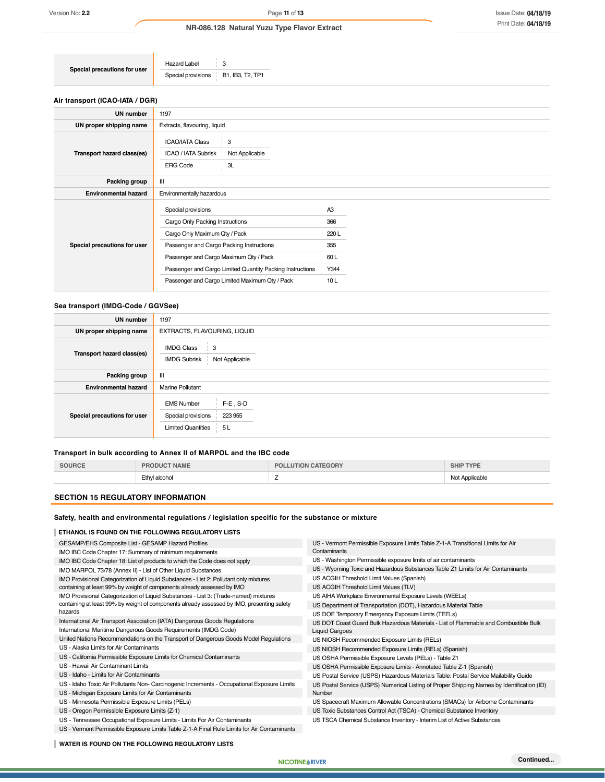**Special precautions for user** Hazard Label 3<br>Special provisions B1, IB3, T2, TP1 Special provisions

### **Air transport (ICAO-IATA / DGR)**

| UN number                    | 1197                                                                                          |      |  |
|------------------------------|-----------------------------------------------------------------------------------------------|------|--|
| UN proper shipping name      | Extracts, flavouring, liquid                                                                  |      |  |
| Transport hazard class(es)   | <b>ICAO/IATA Class</b><br>3<br>Not Applicable<br>ICAO / IATA Subrisk<br><b>ERG Code</b><br>3L |      |  |
| Packing group                | Ш                                                                                             |      |  |
| <b>Environmental hazard</b>  | Environmentally hazardous                                                                     |      |  |
|                              | Special provisions                                                                            | A3   |  |
|                              | Cargo Only Packing Instructions                                                               | 366  |  |
|                              | Cargo Only Maximum Qty / Pack                                                                 | 220L |  |
| Special precautions for user | Passenger and Cargo Packing Instructions                                                      | 355  |  |
|                              | Passenger and Cargo Maximum Qty / Pack                                                        | 60L  |  |
|                              | Passenger and Cargo Limited Quantity Packing Instructions                                     | Y344 |  |
|                              | Passenger and Cargo Limited Maximum Qty / Pack                                                | 10L  |  |
|                              |                                                                                               |      |  |

# **Sea transport (IMDG-Code / GGVSee)**

| <b>UN number</b>             | 1197                                                                                                 |
|------------------------------|------------------------------------------------------------------------------------------------------|
| UN proper shipping name      | EXTRACTS, FLAVOURING, LIQUID                                                                         |
| Transport hazard class(es)   | <b>IMDG Class</b><br>3<br><b>IMDG Subrisk</b><br>Not Applicable                                      |
| Packing group                | Ш                                                                                                    |
| <b>Environmental hazard</b>  | <b>Marine Pollutant</b>                                                                              |
| Special precautions for user | $F-E$ , S-D<br><b>EMS Number</b><br>Special provisions<br>223 955<br><b>Limited Quantities</b><br>5L |

### **Transport in bulk according to Annex II of MARPOL and the IBC code**

| SOURCE | <b>NAME</b><br>RODUCT | <b>CATEGORY</b><br>וחק<br>LUTIOI | TVDE<br>SHIIF  |
|--------|-----------------------|----------------------------------|----------------|
|        | Ethyl alcohol         | -                                | Not Applicable |

### **SECTION 15 REGULATORY INFORMATION**

# **Safety, health and environmental regulations / legislation specific for the substance or mixture**

| ETHANOL IS FOUND ON THE FOLLOWING REGULATORY LISTS                                          |                                                                                            |
|---------------------------------------------------------------------------------------------|--------------------------------------------------------------------------------------------|
| GESAMP/EHS Composite List - GESAMP Hazard Profiles                                          | US - Vermont Permissible Exposure Limits Table Z-1-A Transitional Limits for Air           |
| IMO IBC Code Chapter 17: Summary of minimum requirements                                    | Contaminants                                                                               |
| IMO IBC Code Chapter 18: List of products to which the Code does not apply                  | US - Washington Permissible exposure limits of air contaminants                            |
| IMO MARPOL 73/78 (Annex II) - List of Other Liquid Substances                               | US - Wyoming Toxic and Hazardous Substances Table Z1 Limits for Air Contaminants           |
| IMO Provisional Categorization of Liquid Substances - List 2: Pollutant only mixtures       | US ACGIH Threshold Limit Values (Spanish)                                                  |
| containing at least 99% by weight of components already assessed by IMO                     | US ACGIH Threshold Limit Values (TLV)                                                      |
| IMO Provisional Categorization of Liquid Substances - List 3: (Trade-named) mixtures        | US AIHA Workplace Environmental Exposure Levels (WEELs)                                    |
| containing at least 99% by weight of components already assessed by IMO, presenting safety  | US Department of Transportation (DOT), Hazardous Material Table                            |
| hazards                                                                                     | US DOE Temporary Emergency Exposure Limits (TEELs)                                         |
| International Air Transport Association (IATA) Dangerous Goods Regulations                  | US DOT Coast Guard Bulk Hazardous Materials - List of Flammable and Combustible Bulk       |
| International Maritime Dangerous Goods Requirements (IMDG Code)                             | <b>Liquid Cargoes</b>                                                                      |
| United Nations Recommendations on the Transport of Dangerous Goods Model Regulations        | US NIOSH Recommended Exposure Limits (RELs)                                                |
| US - Alaska Limits for Air Contaminants                                                     | US NIOSH Recommended Exposure Limits (RELs) (Spanish)                                      |
| US - California Permissible Exposure Limits for Chemical Contaminants                       | US OSHA Permissible Exposure Levels (PELs) - Table Z1                                      |
| US - Hawaii Air Contaminant Limits                                                          | US OSHA Permissible Exposure Limits - Annotated Table Z-1 (Spanish)                        |
| US - Idaho - Limits for Air Contaminants                                                    | US Postal Service (USPS) Hazardous Materials Table: Postal Service Mailability Guide       |
| US - Idaho Toxic Air Pollutants Non- Carcinogenic Increments - Occupational Exposure Limits | US Postal Service (USPS) Numerical Listing of Proper Shipping Names by Identification (ID) |
| US - Michigan Exposure Limits for Air Contaminants                                          | Number                                                                                     |
| US - Minnesota Permissible Exposure Limits (PELs)                                           | US Spacecraft Maximum Allowable Concentrations (SMACs) for Airborne Contaminants           |
| US - Oregon Permissible Exposure Limits (Z-1)                                               | US Toxic Substances Control Act (TSCA) - Chemical Substance Inventory                      |
| US - Tennessee Occupational Exposure Limits - Limits For Air Contaminants                   | US TSCA Chemical Substance Inventory - Interim List of Active Substances                   |
| US - Vermont Permissible Exposure Limits Table Z-1-A Final Rule Limits for Air Contaminants |                                                                                            |

**WATER IS FOUND ON THE FOLLOWING REGULATORY LISTS**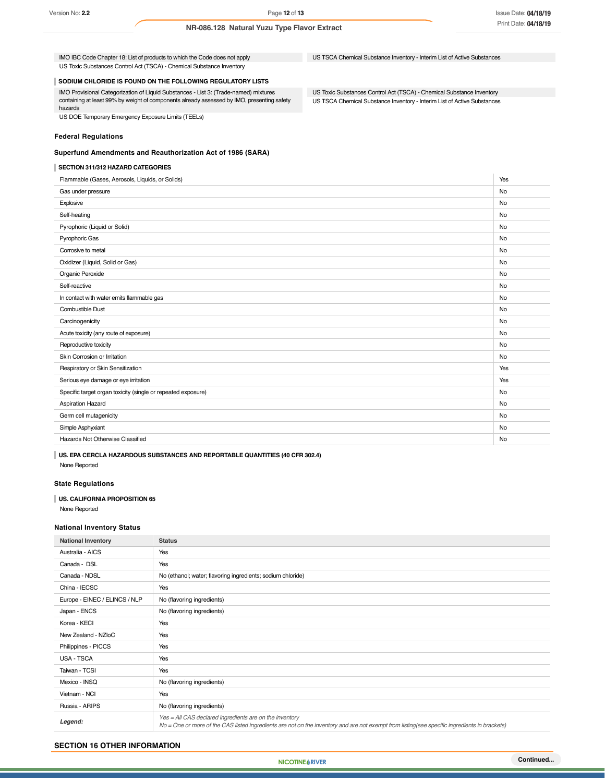US TSCA Chemical Substance Inventory - Interim List of Active Substances

US Toxic Substances Control Act (TSCA) - Chemical Substance Inventory US TSCA Chemical Substance Inventory - Interim List of Active Substances

US Toxic Substances Control Act (TSCA) - Chemical Substance Inventory

IMO IBC Code Chapter 18: List of products to which the Code does not apply

**SODIUM CHLORIDE IS FOUND ON THE FOLLOWING REGULATORY LISTS**

IMO Provisional Categorization of Liquid Substances - List 3: (Trade-named) mixtures containing at least 99% by weight of components already assessed by IMO, presenting safety hazards

US DOE Temporary Emergency Exposure Limits (TEELs)

### **Federal Regulations**

### **Superfund Amendments and Reauthorization Act of 1986 (SARA)**

### **SECTION 311/312 HAZARD CATEGORIES**

Flammable (Gases, Aerosols, Liquids, or Solids) Yes Gas under pressure No Explosive the contract of the contract of the contract of the contract of the contract of the contract of the contract of the contract of the contract of the contract of the contract of the contract of the contract of the Self-heating No Pyrophoric (Liquid or Solid) No Pyrophoric Gas Note that the contract of the contract of the contract of the contract of the contract of the contract of the contract of the contract of the contract of the contract of the contract of the contract of the c Corrosive to metal No. No. 2008. The corresponding to the corresponding to the corresponding to the corresponding to the corresponding to the corresponding to the corresponding to the corresponding to the corresponding to Oxidizer (Liquid, Solid or Gas) No Organic Peroxide No. 2006 No. 2007 No. 2008 No. 2008 No. 2009 No. 2008 No. 2009 No. 2009 No. 2009 No. 2009 No. Self-reactive No. 2006 No. 2006 No. 2006 No. 2006 No. 2006 No. 2006 No. 2006 No. 2006 No. 2006 No. 2006 No. 20 In contact with water emits flammable gas No and the state of the state of the state of the state of the state of the state of the state of the state of the state of the state of the state of the state of the state of the Combustible Dust No Carcinogenicity No Acute toxicity (any route of exposure) No Reproductive toxicity No. No. 2006. The contract of the contract of the contract of the contract of the contract of the contract of the contract of the contract of the contract of the contract of the contract of the contra Skin Corrosion or Irritation No. 2006 No. 2012 19:30 No. 2012 19:30 No. 2012 19:30 No. 2012 19:30 No. 2012 19:30 No. 2013 No. 2013 19:30 No. 2013 No. 2013 19:30 No. 2013 19:30 No. 2013 19:30 No. 2013 19:30 No. 2013 19:30 N Respiratory or Skin Sensitization **New Sensitization** Nessential Control of the Sensitization Nessential Control of the Ves Serious eye damage or eye irritation **Yes** Serious eye damage or eye irritation **Yes** Serious eye damage or eye irritation Specific target organ toxicity (single or repeated exposure) No when the state of the state of the state of the state of the state of the state of the state of the state of the state of the state of the state of the state Aspiration Hazard No Germ cell mutagenicity No Simple Asphyxiant No Hazards Not Otherwise Classified Note 2021 and 2022 and 2022 and 2022 and 2022 and 2022 and 2022 and 2022 and 2022 and 2022 and 2022 and 2022 and 2022 and 2022 and 2022 and 2022 and 2022 and 2022 and 2022 and 2022 and 2022

**US. EPA CERCLA HAZARDOUS SUBSTANCES AND REPORTABLE QUANTITIES (40 CFR 302.4)**

None Reported

### **State Regulations**

### **US. CALIFORNIA PROPOSITION 65**

None Reported

### **National Inventory Status**

| <b>National Inventory</b>     | <b>Status</b>                                                                                                                                                                                            |
|-------------------------------|----------------------------------------------------------------------------------------------------------------------------------------------------------------------------------------------------------|
| Australia - AICS              | Yes                                                                                                                                                                                                      |
| Canada - DSL                  | Yes                                                                                                                                                                                                      |
| Canada - NDSL                 | No (ethanol; water; flavoring ingredients; sodium chloride)                                                                                                                                              |
| China - IECSC                 | Yes                                                                                                                                                                                                      |
| Europe - EINEC / ELINCS / NLP | No (flavoring ingredients)                                                                                                                                                                               |
| Japan - ENCS                  | No (flavoring ingredients)                                                                                                                                                                               |
| Korea - KECI                  | Yes                                                                                                                                                                                                      |
| New Zealand - NZIoC           | Yes                                                                                                                                                                                                      |
| Philippines - PICCS           | Yes                                                                                                                                                                                                      |
| USA - TSCA                    | Yes                                                                                                                                                                                                      |
| Taiwan - TCSI                 | Yes                                                                                                                                                                                                      |
| Mexico - INSQ                 | No (flavoring ingredients)                                                                                                                                                                               |
| Vietnam - NCI                 | Yes                                                                                                                                                                                                      |
| Russia - ARIPS                | No (flavoring ingredients)                                                                                                                                                                               |
| Legend:                       | Yes = All CAS declared ingredients are on the inventory<br>No = One or more of the CAS listed ingredients are not on the inventory and are not exempt from listing(see specific ingredients in brackets) |

### **SECTION 16 OTHER INFORMATION**